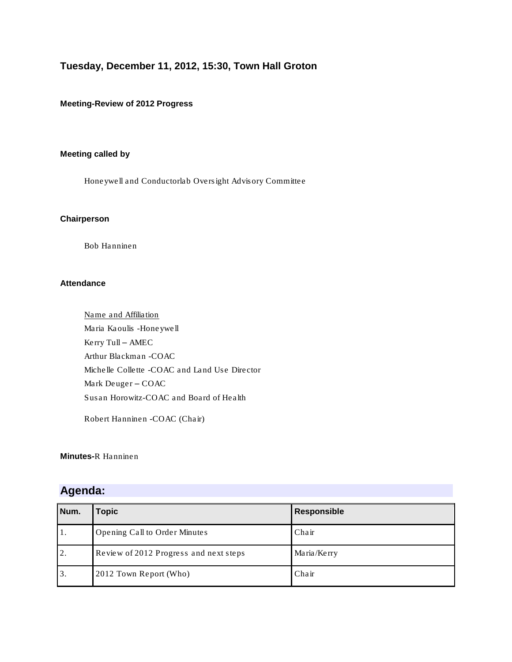# **Tuesday, December 11, 2012, 15:30, Town Hall Groton**

## **Meeting-Review of 2012 Progress**

# **Meeting called by**

Honeywell and Conductorlab Oversight Advisory Committee

#### **Chairperson**

Bob Hanninen

### **Attendance**

Name and Affiliation Maria Kaoulis -Honeywell Kerry Tull – AMEC Arthur Blackman -COAC Michelle Collette -COAC and Land Use Director Mark Deuger – COAC Susan Horowitz-COAC and Board of Health

Robert Hanninen -COAC (Chair)

### **Minutes-**R Hanninen

# **Agenda:**

| Num. | Topic                                  | Responsible |
|------|----------------------------------------|-------------|
| 1.   | Opening Call to Order Minutes          | Chair       |
| 2.   | Review of 2012 Progress and next steps | Maria/Kerry |
| 3.   | 2012 Town Report (Who)                 | Chair       |